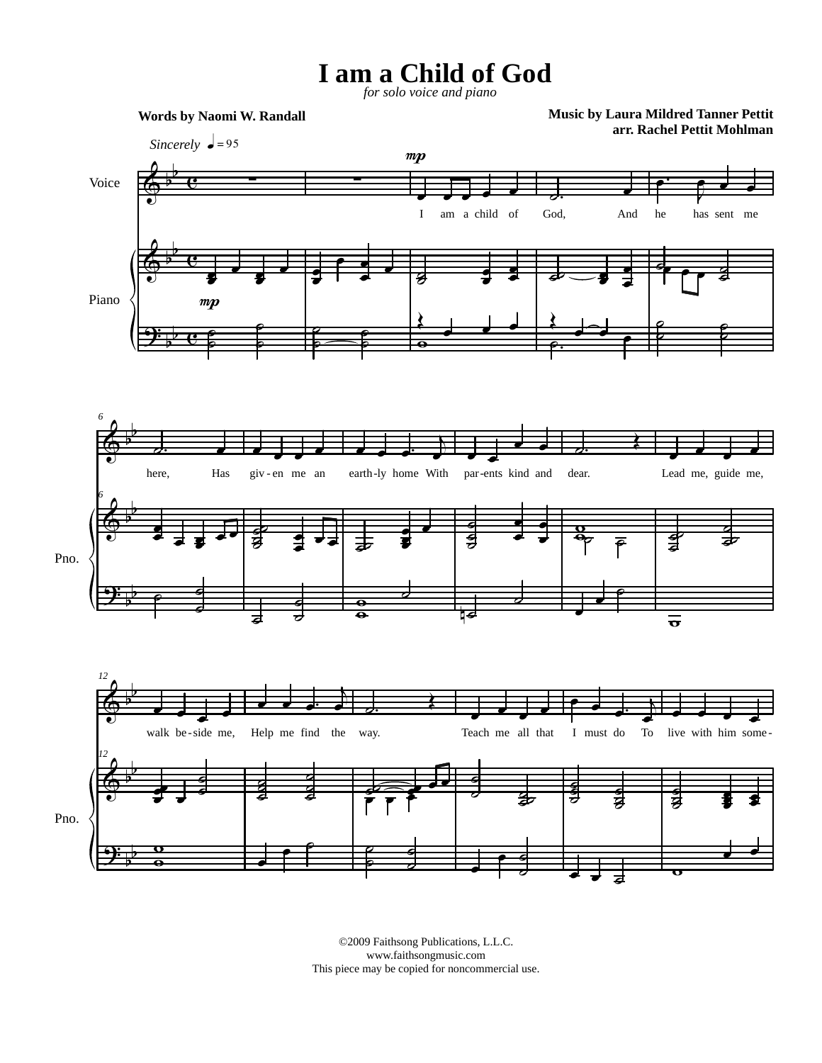## **I am a Child of God**

*for solo voice and piano*

**arr. Rachel Pettit Mohlman** Words by Naomi W. Randall **Music by Laura Mildred Tanner Pettit** 



©2009 Faithsong Publications, L.L.C. www.faithsongmusic.com This piece may be copied for noncommercial use.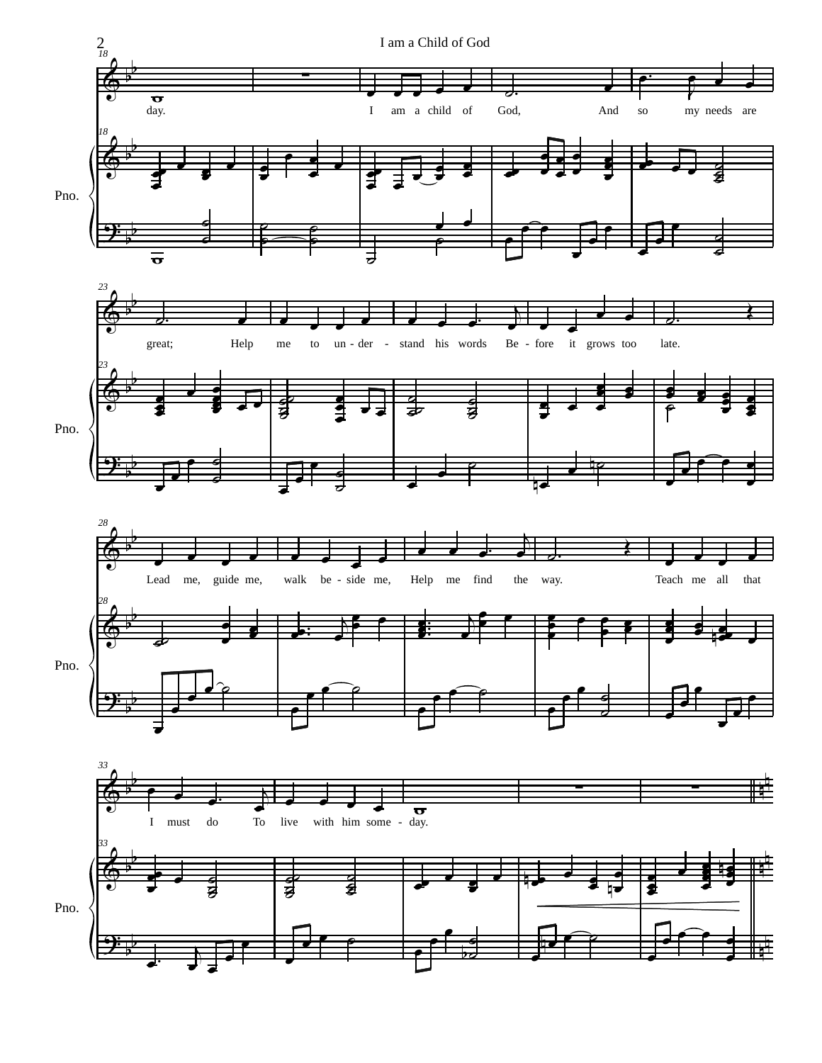